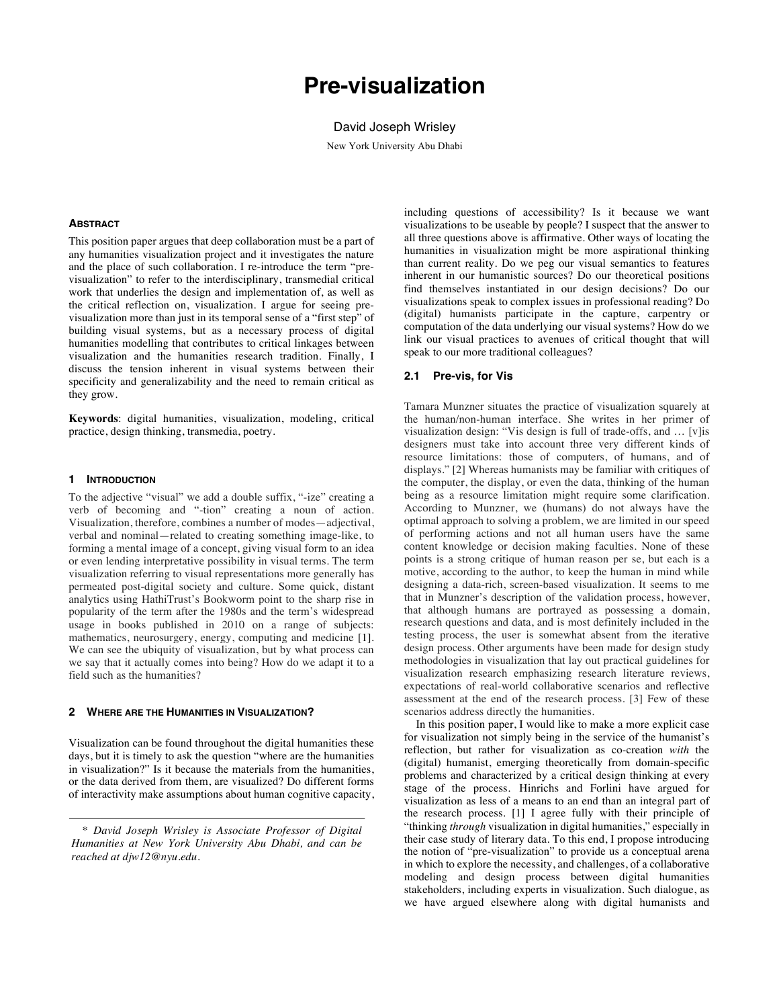# **Pre-visualization**

## David Joseph Wrisley

New York University Abu Dhabi

## **ABSTRACT**

This position paper argues that deep collaboration must be a part of any humanities visualization project and it investigates the nature and the place of such collaboration. I re-introduce the term "previsualization" to refer to the interdisciplinary, transmedial critical work that underlies the design and implementation of, as well as the critical reflection on, visualization. I argue for seeing previsualization more than just in its temporal sense of a "first step" of building visual systems, but as a necessary process of digital humanities modelling that contributes to critical linkages between visualization and the humanities research tradition. Finally, I discuss the tension inherent in visual systems between their specificity and generalizability and the need to remain critical as they grow.

**Keywords**: digital humanities, visualization, modeling, critical practice, design thinking, transmedia, poetry.

#### **1 INTRODUCTION**

To the adjective "visual" we add a double suffix, "-ize" creating a verb of becoming and "-tion" creating a noun of action. Visualization, therefore, combines a number of modes—adjectival, verbal and nominal—related to creating something image-like, to forming a mental image of a concept, giving visual form to an idea or even lending interpretative possibility in visual terms. The term visualization referring to visual representations more generally has permeated post-digital society and culture. Some quick, distant analytics using HathiTrust's Bookworm point to the sharp rise in popularity of the term after the 1980s and the term's widespread usage in books published in 2010 on a range of subjects: mathematics, neurosurgery, energy, computing and medicine [1]. We can see the ubiquity of visualization, but by what process can we say that it actually comes into being? How do we adapt it to a field such as the humanities?

#### **2 WHERE ARE THE HUMANITIES IN VISUALIZATION?**

Visualization can be found throughout the digital humanities these days, but it is timely to ask the question "where are the humanities in visualization?" Is it because the materials from the humanities, or the data derived from them, are visualized? Do different forms of interactivity make assumptions about human cognitive capacity, including questions of accessibility? Is it because we want visualizations to be useable by people? I suspect that the answer to all three questions above is affirmative. Other ways of locating the humanities in visualization might be more aspirational thinking than current reality. Do we peg our visual semantics to features inherent in our humanistic sources? Do our theoretical positions find themselves instantiated in our design decisions? Do our visualizations speak to complex issues in professional reading? Do (digital) humanists participate in the capture, carpentry or computation of the data underlying our visual systems? How do we link our visual practices to avenues of critical thought that will speak to our more traditional colleagues?

## **2.1 Pre-vis, for Vis**

Tamara Munzner situates the practice of visualization squarely at the human/non-human interface. She writes in her primer of visualization design: "Vis design is full of trade-offs, and … [v]is designers must take into account three very different kinds of resource limitations: those of computers, of humans, and of displays." [2] Whereas humanists may be familiar with critiques of the computer, the display, or even the data, thinking of the human being as a resource limitation might require some clarification. According to Munzner, we (humans) do not always have the optimal approach to solving a problem, we are limited in our speed of performing actions and not all human users have the same content knowledge or decision making faculties. None of these points is a strong critique of human reason per se, but each is a motive, according to the author, to keep the human in mind while designing a data-rich, screen-based visualization. It seems to me that in Munzner's description of the validation process, however, that although humans are portrayed as possessing a domain, research questions and data, and is most definitely included in the testing process, the user is somewhat absent from the iterative design process. Other arguments have been made for design study methodologies in visualization that lay out practical guidelines for visualization research emphasizing research literature reviews, expectations of real-world collaborative scenarios and reflective assessment at the end of the research process. [3] Few of these scenarios address directly the humanities.

In this position paper, I would like to make a more explicit case for visualization not simply being in the service of the humanist's reflection, but rather for visualization as co-creation *with* the (digital) humanist, emerging theoretically from domain-specific problems and characterized by a critical design thinking at every stage of the process. Hinrichs and Forlini have argued for visualization as less of a means to an end than an integral part of the research process. [1] I agree fully with their principle of "thinking *through* visualization in digital humanities," especially in their case study of literary data. To this end, I propose introducing the notion of "pre-visualization" to provide us a conceptual arena in which to explore the necessity, and challenges, of a collaborative modeling and design process between digital humanities stakeholders, including experts in visualization. Such dialogue, as we have argued elsewhere along with digital humanists and

<sup>\*</sup> *David Joseph Wrisley is Associate Professor of Digital Humanities at New York University Abu Dhabi, and can be reached at djw12@nyu.edu.*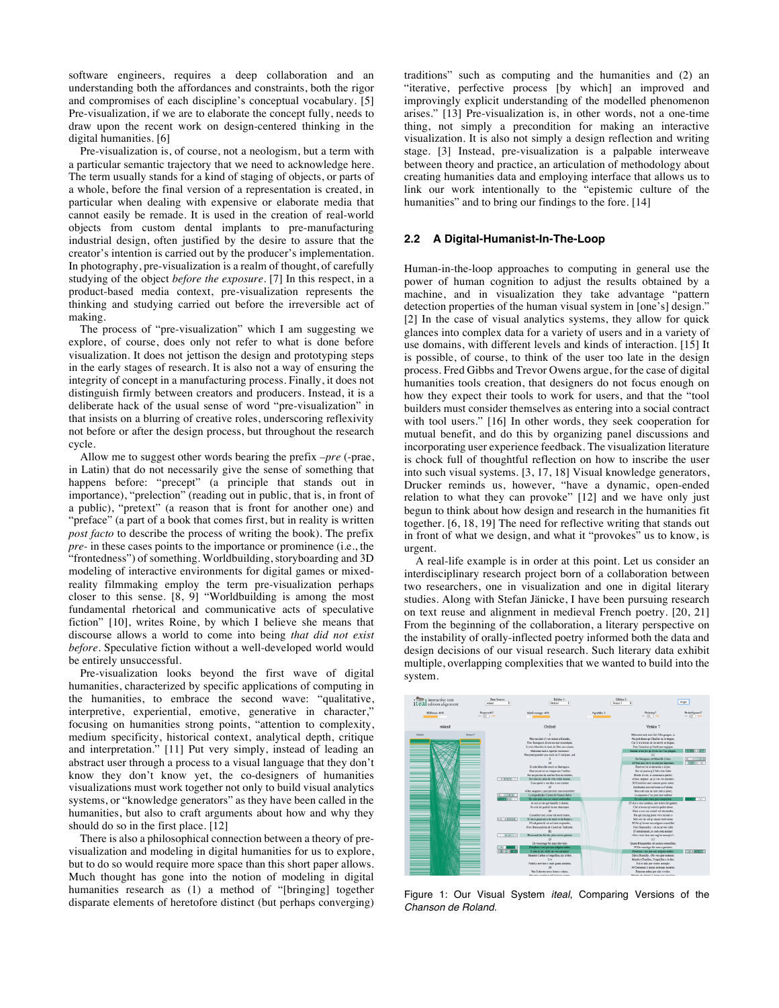software engineers, requires a deep collaboration and an understanding both the affordances and constraints, both the rigor and compromises of each discipline's conceptual vocabulary. [5] Pre-visualization, if we are to elaborate the concept fully, needs to draw upon the recent work on design-centered thinking in the digital humanities. [6]

Pre-visualization is, of course, not a neologism, but a term with a particular semantic trajectory that we need to acknowledge here. The term usually stands for a kind of staging of objects, or parts of a whole, before the final version of a representation is created, in particular when dealing with expensive or elaborate media that cannot easily be remade. It is used in the creation of real-world objects from custom dental implants to pre-manufacturing industrial design, often justified by the desire to assure that the creator's intention is carried out by the producer's implementation. In photography, pre-visualization is a realm of thought, of carefully studying of the object *before the exposure.* [7] In this respect, in a product-based media context, pre-visualization represents the thinking and studying carried out before the irreversible act of making.

The process of "pre-visualization" which I am suggesting we explore, of course, does only not refer to what is done before visualization. It does not jettison the design and prototyping steps in the early stages of research. It is also not a way of ensuring the integrity of concept in a manufacturing process. Finally, it does not distinguish firmly between creators and producers. Instead, it is a deliberate hack of the usual sense of word "pre-visualization" in that insists on a blurring of creative roles, underscoring reflexivity not before or after the design process, but throughout the research cycle.

Allow me to suggest other words bearing the prefix *–pre* (-prae, in Latin) that do not necessarily give the sense of something that happens before: "precept" (a principle that stands out in importance), "prelection" (reading out in public, that is, in front of a public), "pretext" (a reason that is front for another one) and "preface" (a part of a book that comes first, but in reality is written *post facto* to describe the process of writing the book). The prefix *pre-* in these cases points to the importance or prominence (i.e., the "frontedness") of something. Worldbuilding, storyboarding and 3D modeling of interactive environments for digital games or mixedreality filmmaking employ the term pre-visualization perhaps closer to this sense. [8, 9] "Worldbuilding is among the most fundamental rhetorical and communicative acts of speculative fiction" [10], writes Roine, by which I believe she means that discourse allows a world to come into being *that did not exist before*. Speculative fiction without a well-developed world would be entirely unsuccessful.

Pre-visualization looks beyond the first wave of digital humanities, characterized by specific applications of computing in the humanities, to embrace the second wave: "qualitative, interpretive, experiential, emotive, generative in character," focusing on humanities strong points, "attention to complexity, medium specificity, historical context, analytical depth, critique and interpretation." [11] Put very simply, instead of leading an abstract user through a process to a visual language that they don't know they don't know yet, the co-designers of humanities visualizations must work together not only to build visual analytics systems, or "knowledge generators" as they have been called in the humanities, but also to craft arguments about how and why they should do so in the first place. [12]

There is also a philosophical connection between a theory of previsualization and modeling in digital humanities for us to explore, but to do so would require more space than this short paper allows. Much thought has gone into the notion of modeling in digital humanities research as (1) a method of "[bringing] together disparate elements of heretofore distinct (but perhaps converging)

traditions" such as computing and the humanities and (2) an "iterative, perfective process [by which] an improved and improvingly explicit understanding of the modelled phenomenon arises." [13] Pre-visualization is, in other words, not a one-time thing, not simply a precondition for making an interactive visualization. It is also not simply a design reflection and writing stage. [3] Instead, pre-visualization is a palpable interweave between theory and practice, an articulation of methodology about creating humanities data and employing interface that allows us to link our work intentionally to the "epistemic culture of the humanities" and to bring our findings to the fore. [14]

## **2.2 A Digital-Humanist-In-The-Loop**

Human-in-the-loop approaches to computing in general use the power of human cognition to adjust the results obtained by a machine, and in visualization they take advantage "pattern detection properties of the human visual system in [one's] design." [2] In the case of visual analytics systems, they allow for quick glances into complex data for a variety of users and in a variety of use domains, with different levels and kinds of interaction. [15] It is possible, of course, to think of the user too late in the design process. Fred Gibbs and Trevor Owens argue, for the case of digital humanities tools creation, that designers do not focus enough on how they expect their tools to work for users, and that the "tool builders must consider themselves as entering into a social contract with tool users." [16] In other words, they seek cooperation for mutual benefit, and do this by organizing panel discussions and incorporating user experience feedback. The visualization literature is chock full of thoughtful reflection on how to inscribe the user into such visual systems. [3, 17, 18] Visual knowledge generators, Drucker reminds us, however, "have a dynamic, open-ended relation to what they can provoke" [12] and we have only just begun to think about how design and research in the humanities fit together. [6, 18, 19] The need for reflective writing that stands out in front of what we design, and what it "provokes" us to know, is urgent.

A real-life example is in order at this point. Let us consider an interdisciplinary research project born of a collaboration between two researchers, one in visualization and one in digital literary studies. Along with Stefan Jänicke, I have been pursuing research on text reuse and alignment in medieval French poetry. [20, 21] From the beginning of the collaboration, a literary perspective on the instability of orally-inflected poetry informed both the data and design decisions of our visual research. Such literary data exhibit multiple, overlapping complexities that we wanted to build into the system.



Figure 1: Our Visual System *iteal*, Comparing Versions of the *Chanson de Roland*.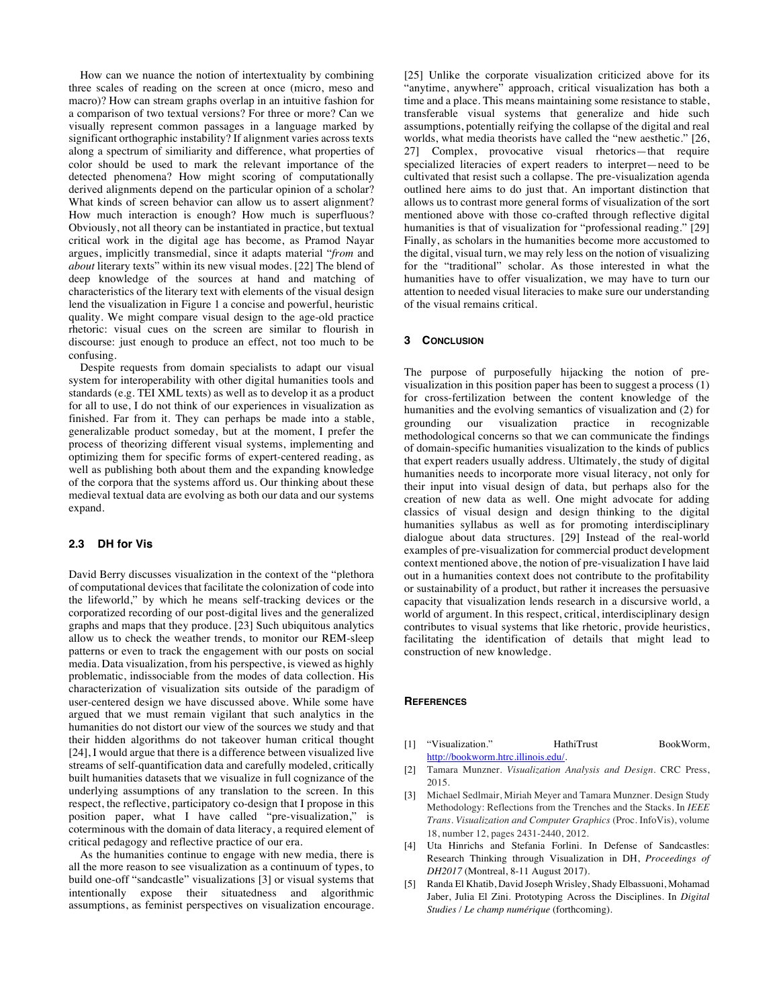How can we nuance the notion of intertextuality by combining three scales of reading on the screen at once (micro, meso and macro)? How can stream graphs overlap in an intuitive fashion for a comparison of two textual versions? For three or more? Can we visually represent common passages in a language marked by significant orthographic instability? If alignment varies across texts along a spectrum of similiarity and difference, what properties of color should be used to mark the relevant importance of the detected phenomena? How might scoring of computationally derived alignments depend on the particular opinion of a scholar? What kinds of screen behavior can allow us to assert alignment? How much interaction is enough? How much is superfluous? Obviously, not all theory can be instantiated in practice, but textual critical work in the digital age has become, as Pramod Nayar argues, implicitly transmedial, since it adapts material "*from* and *about* literary texts" within its new visual modes. [22] The blend of deep knowledge of the sources at hand and matching of characteristics of the literary text with elements of the visual design lend the visualization in Figure 1 a concise and powerful, heuristic quality. We might compare visual design to the age-old practice rhetoric: visual cues on the screen are similar to flourish in discourse: just enough to produce an effect, not too much to be confusing.

Despite requests from domain specialists to adapt our visual system for interoperability with other digital humanities tools and standards (e.g. TEI XML texts) as well as to develop it as a product for all to use, I do not think of our experiences in visualization as finished. Far from it. They can perhaps be made into a stable, generalizable product someday, but at the moment, I prefer the process of theorizing different visual systems, implementing and optimizing them for specific forms of expert-centered reading, as well as publishing both about them and the expanding knowledge of the corpora that the systems afford us. Our thinking about these medieval textual data are evolving as both our data and our systems expand.

### **2.3 DH for Vis**

David Berry discusses visualization in the context of the "plethora of computational devices that facilitate the colonization of code into the lifeworld," by which he means self-tracking devices or the corporatized recording of our post-digital lives and the generalized graphs and maps that they produce. [23] Such ubiquitous analytics allow us to check the weather trends, to monitor our REM-sleep patterns or even to track the engagement with our posts on social media. Data visualization, from his perspective, is viewed as highly problematic, indissociable from the modes of data collection. His characterization of visualization sits outside of the paradigm of user-centered design we have discussed above. While some have argued that we must remain vigilant that such analytics in the humanities do not distort our view of the sources we study and that their hidden algorithms do not takeover human critical thought [24], I would argue that there is a difference between visualized live streams of self-quantification data and carefully modeled, critically built humanities datasets that we visualize in full cognizance of the underlying assumptions of any translation to the screen. In this respect, the reflective, participatory co-design that I propose in this position paper, what I have called "pre-visualization," is coterminous with the domain of data literacy, a required element of critical pedagogy and reflective practice of our era.

As the humanities continue to engage with new media, there is all the more reason to see visualization as a continuum of types, to build one-off "sandcastle" visualizations [3] or visual systems that intentionally expose their situatedness and algorithmic assumptions, as feminist perspectives on visualization encourage.

[25] Unlike the corporate visualization criticized above for its "anytime, anywhere" approach, critical visualization has both a time and a place. This means maintaining some resistance to stable, transferable visual systems that generalize and hide such assumptions, potentially reifying the collapse of the digital and real worlds, what media theorists have called the "new aesthetic." [26, 27] Complex, provocative visual rhetorics—that require specialized literacies of expert readers to interpret—need to be cultivated that resist such a collapse. The pre-visualization agenda outlined here aims to do just that. An important distinction that allows us to contrast more general forms of visualization of the sort mentioned above with those co-crafted through reflective digital humanities is that of visualization for "professional reading." [29] Finally, as scholars in the humanities become more accustomed to the digital, visual turn, we may rely less on the notion of visualizing for the "traditional" scholar. As those interested in what the humanities have to offer visualization, we may have to turn our attention to needed visual literacies to make sure our understanding of the visual remains critical.

#### **3 CONCLUSION**

The purpose of purposefully hijacking the notion of previsualization in this position paper has been to suggest a process (1) for cross-fertilization between the content knowledge of the humanities and the evolving semantics of visualization and (2) for grounding our visualization practice in recognizable methodological concerns so that we can communicate the findings of domain-specific humanities visualization to the kinds of publics that expert readers usually address. Ultimately, the study of digital humanities needs to incorporate more visual literacy, not only for their input into visual design of data, but perhaps also for the creation of new data as well. One might advocate for adding classics of visual design and design thinking to the digital humanities syllabus as well as for promoting interdisciplinary dialogue about data structures. [29] Instead of the real-world examples of pre-visualization for commercial product development context mentioned above, the notion of pre-visualization I have laid out in a humanities context does not contribute to the profitability or sustainability of a product, but rather it increases the persuasive capacity that visualization lends research in a discursive world, a world of argument. In this respect, critical, interdisciplinary design contributes to visual systems that like rhetoric, provide heuristics, facilitating the identification of details that might lead to construction of new knowledge.

#### **REFERENCES**

- [1] "Visualization." HathiTrust BookWorm, http://bookworm.htrc.illinois.edu/.
- [2] Tamara Munzner. *Visualization Analysis and Design*. CRC Press, 2015.
- [3] Michael Sedlmair, Miriah Meyer and Tamara Munzner. Design Study Methodology: Reflections from the Trenches and the Stacks. In *IEEE Trans. Visualization and Computer Graphics* (Proc. InfoVis), volume 18, number 12, pages 2431-2440, 2012.
- [4] Uta Hinrichs and Stefania Forlini. In Defense of Sandcastles: Research Thinking through Visualization in DH, *Proceedings of DH2017* (Montreal, 8-11 August 2017).
- [5] Randa El Khatib, David Joseph Wrisley, Shady Elbassuoni, Mohamad Jaber, Julia El Zini. Prototyping Across the Disciplines. In *Digital Studies / Le champ numérique* (forthcoming).